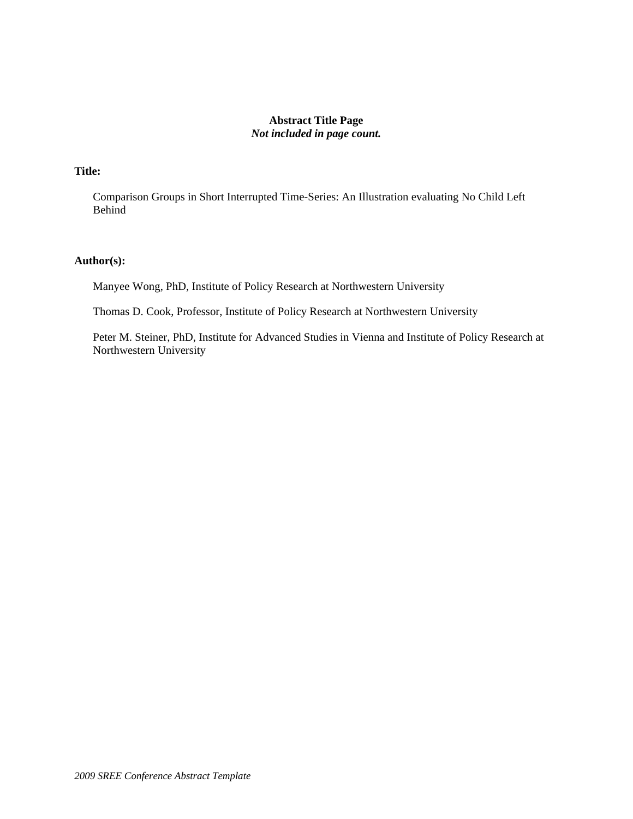## **Abstract Title Page**  *Not included in page count.*

# **Title:**

Comparison Groups in Short Interrupted Time-Series: An Illustration evaluating No Child Left Behind

### **Author(s):**

Manyee Wong, PhD, Institute of Policy Research at Northwestern University

Thomas D. Cook, Professor, Institute of Policy Research at Northwestern University

Peter M. Steiner, PhD, Institute for Advanced Studies in Vienna and Institute of Policy Research at Northwestern University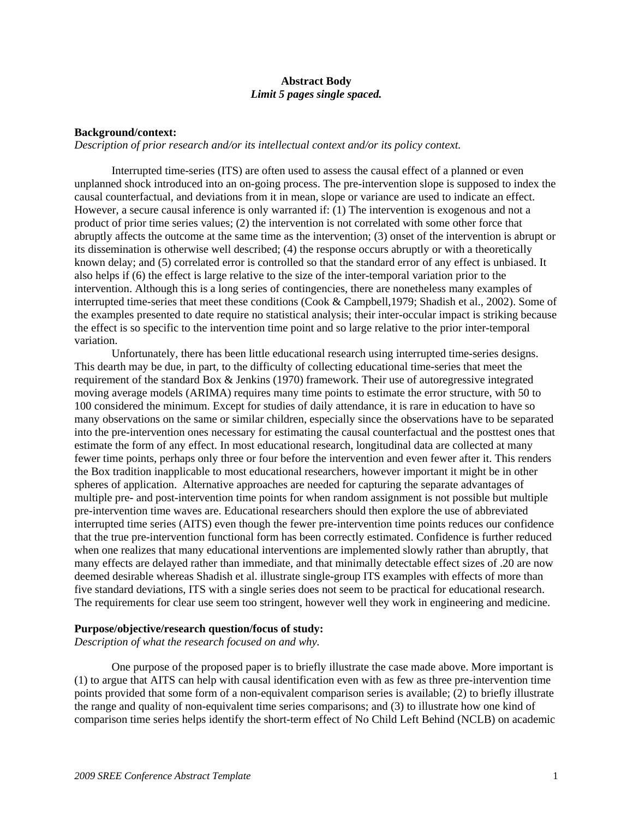### **Abstract Body**  *Limit 5 pages single spaced.*

#### **Background/context:**

*Description of prior research and/or its intellectual context and/or its policy context.*

Interrupted time-series (ITS) are often used to assess the causal effect of a planned or even unplanned shock introduced into an on-going process. The pre-intervention slope is supposed to index the causal counterfactual, and deviations from it in mean, slope or variance are used to indicate an effect. However, a secure causal inference is only warranted if: (1) The intervention is exogenous and not a product of prior time series values; (2) the intervention is not correlated with some other force that abruptly affects the outcome at the same time as the intervention; (3) onset of the intervention is abrupt or its dissemination is otherwise well described; (4) the response occurs abruptly or with a theoretically known delay; and (5) correlated error is controlled so that the standard error of any effect is unbiased. It also helps if (6) the effect is large relative to the size of the inter-temporal variation prior to the intervention. Although this is a long series of contingencies, there are nonetheless many examples of interrupted time-series that meet these conditions (Cook & Campbell,1979; Shadish et al., 2002). Some of the examples presented to date require no statistical analysis; their inter-occular impact is striking because the effect is so specific to the intervention time point and so large relative to the prior inter-temporal variation.

Unfortunately, there has been little educational research using interrupted time-series designs. This dearth may be due, in part, to the difficulty of collecting educational time-series that meet the requirement of the standard Box & Jenkins (1970) framework. Their use of autoregressive integrated moving average models (ARIMA) requires many time points to estimate the error structure, with 50 to 100 considered the minimum. Except for studies of daily attendance, it is rare in education to have so many observations on the same or similar children, especially since the observations have to be separated into the pre-intervention ones necessary for estimating the causal counterfactual and the posttest ones that estimate the form of any effect. In most educational research, longitudinal data are collected at many fewer time points, perhaps only three or four before the intervention and even fewer after it. This renders the Box tradition inapplicable to most educational researchers, however important it might be in other spheres of application. Alternative approaches are needed for capturing the separate advantages of multiple pre- and post-intervention time points for when random assignment is not possible but multiple pre-intervention time waves are. Educational researchers should then explore the use of abbreviated interrupted time series (AITS) even though the fewer pre-intervention time points reduces our confidence that the true pre-intervention functional form has been correctly estimated. Confidence is further reduced when one realizes that many educational interventions are implemented slowly rather than abruptly, that many effects are delayed rather than immediate, and that minimally detectable effect sizes of .20 are now deemed desirable whereas Shadish et al. illustrate single-group ITS examples with effects of more than five standard deviations, ITS with a single series does not seem to be practical for educational research. The requirements for clear use seem too stringent, however well they work in engineering and medicine.

#### **Purpose/objective/research question/focus of study:**

*Description of what the research focused on and why.* 

One purpose of the proposed paper is to briefly illustrate the case made above. More important is (1) to argue that AITS can help with causal identification even with as few as three pre-intervention time points provided that some form of a non-equivalent comparison series is available; (2) to briefly illustrate the range and quality of non-equivalent time series comparisons; and (3) to illustrate how one kind of comparison time series helps identify the short-term effect of No Child Left Behind (NCLB) on academic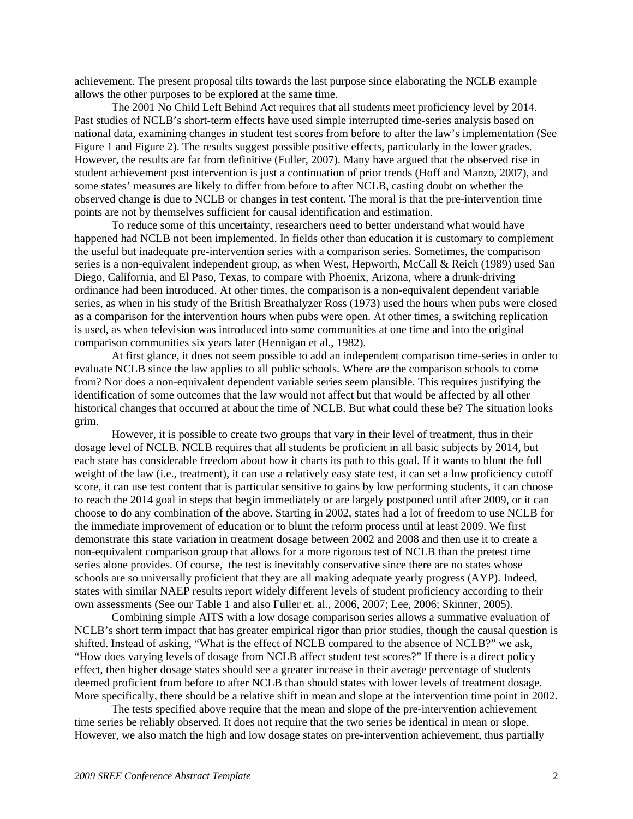achievement. The present proposal tilts towards the last purpose since elaborating the NCLB example allows the other purposes to be explored at the same time.

The 2001 No Child Left Behind Act requires that all students meet proficiency level by 2014. Past studies of NCLB's short-term effects have used simple interrupted time-series analysis based on national data, examining changes in student test scores from before to after the law's implementation (See Figure 1 and Figure 2). The results suggest possible positive effects, particularly in the lower grades. However, the results are far from definitive (Fuller, 2007). Many have argued that the observed rise in student achievement post intervention is just a continuation of prior trends (Hoff and Manzo, 2007), and some states' measures are likely to differ from before to after NCLB, casting doubt on whether the observed change is due to NCLB or changes in test content. The moral is that the pre-intervention time points are not by themselves sufficient for causal identification and estimation.

To reduce some of this uncertainty, researchers need to better understand what would have happened had NCLB not been implemented. In fields other than education it is customary to complement the useful but inadequate pre-intervention series with a comparison series. Sometimes, the comparison series is a non-equivalent independent group, as when West, Hepworth, McCall & Reich (1989) used San Diego, California, and El Paso, Texas, to compare with Phoenix, Arizona, where a drunk-driving ordinance had been introduced. At other times, the comparison is a non-equivalent dependent variable series, as when in his study of the British Breathalyzer Ross (1973) used the hours when pubs were closed as a comparison for the intervention hours when pubs were open. At other times, a switching replication is used, as when television was introduced into some communities at one time and into the original comparison communities six years later (Hennigan et al., 1982).

At first glance, it does not seem possible to add an independent comparison time-series in order to evaluate NCLB since the law applies to all public schools. Where are the comparison schools to come from? Nor does a non-equivalent dependent variable series seem plausible. This requires justifying the identification of some outcomes that the law would not affect but that would be affected by all other historical changes that occurred at about the time of NCLB. But what could these be? The situation looks grim.

However, it is possible to create two groups that vary in their level of treatment, thus in their dosage level of NCLB. NCLB requires that all students be proficient in all basic subjects by 2014, but each state has considerable freedom about how it charts its path to this goal. If it wants to blunt the full weight of the law (i.e., treatment), it can use a relatively easy state test, it can set a low proficiency cutoff score, it can use test content that is particular sensitive to gains by low performing students, it can choose to reach the 2014 goal in steps that begin immediately or are largely postponed until after 2009, or it can choose to do any combination of the above. Starting in 2002, states had a lot of freedom to use NCLB for the immediate improvement of education or to blunt the reform process until at least 2009. We first demonstrate this state variation in treatment dosage between 2002 and 2008 and then use it to create a non-equivalent comparison group that allows for a more rigorous test of NCLB than the pretest time series alone provides. Of course, the test is inevitably conservative since there are no states whose schools are so universally proficient that they are all making adequate yearly progress (AYP). Indeed, states with similar NAEP results report widely different levels of student proficiency according to their own assessments (See our Table 1 and also Fuller et. al., 2006, 2007; Lee, 2006; Skinner, 2005).

Combining simple AITS with a low dosage comparison series allows a summative evaluation of NCLB's short term impact that has greater empirical rigor than prior studies, though the causal question is shifted. Instead of asking, "What is the effect of NCLB compared to the absence of NCLB?" we ask, "How does varying levels of dosage from NCLB affect student test scores?" If there is a direct policy effect, then higher dosage states should see a greater increase in their average percentage of students deemed proficient from before to after NCLB than should states with lower levels of treatment dosage. More specifically, there should be a relative shift in mean and slope at the intervention time point in 2002.

The tests specified above require that the mean and slope of the pre-intervention achievement time series be reliably observed. It does not require that the two series be identical in mean or slope. However, we also match the high and low dosage states on pre-intervention achievement, thus partially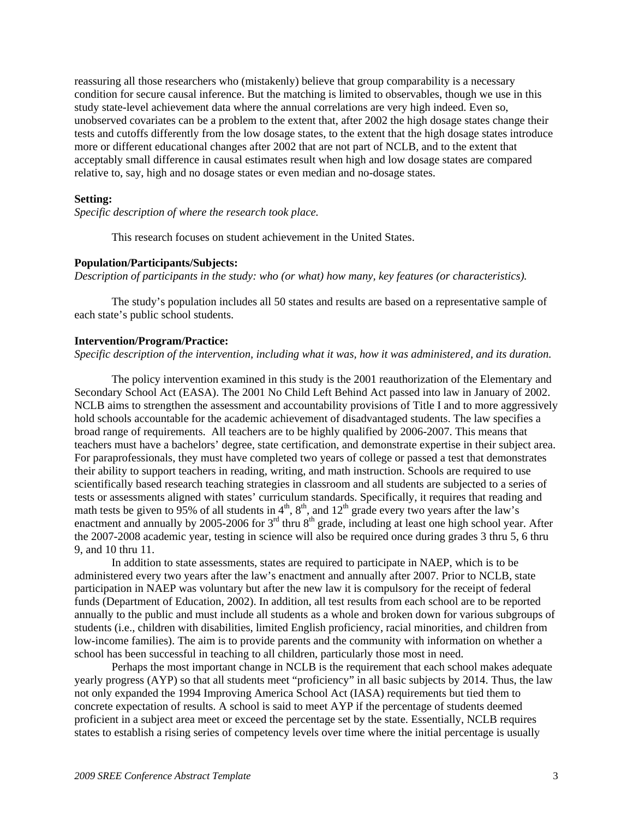reassuring all those researchers who (mistakenly) believe that group comparability is a necessary condition for secure causal inference. But the matching is limited to observables, though we use in this study state-level achievement data where the annual correlations are very high indeed. Even so, unobserved covariates can be a problem to the extent that, after 2002 the high dosage states change their tests and cutoffs differently from the low dosage states, to the extent that the high dosage states introduce more or different educational changes after 2002 that are not part of NCLB, and to the extent that acceptably small difference in causal estimates result when high and low dosage states are compared relative to, say, high and no dosage states or even median and no-dosage states.

#### **Setting:**

*Specific description of where the research took place.*

This research focuses on student achievement in the United States.

#### **Population/Participants/Subjects:**

*Description of participants in the study: who (or what) how many, key features (or characteristics).*

 The study's population includes all 50 states and results are based on a representative sample of each state's public school students.

#### **Intervention/Program/Practice:**

*Specific description of the intervention, including what it was, how it was administered, and its duration.*

The policy intervention examined in this study is the 2001 reauthorization of the Elementary and Secondary School Act (EASA). The 2001 No Child Left Behind Act passed into law in January of 2002. NCLB aims to strengthen the assessment and accountability provisions of Title I and to more aggressively hold schools accountable for the academic achievement of disadvantaged students. The law specifies a broad range of requirements. All teachers are to be highly qualified by 2006-2007. This means that teachers must have a bachelors' degree, state certification, and demonstrate expertise in their subject area. For paraprofessionals, they must have completed two years of college or passed a test that demonstrates their ability to support teachers in reading, writing, and math instruction. Schools are required to use scientifically based research teaching strategies in classroom and all students are subjected to a series of tests or assessments aligned with states' curriculum standards. Specifically, it requires that reading and math tests be given to 95% of all students in  $4<sup>th</sup>$ ,  $8<sup>th</sup>$ , and  $12<sup>th</sup>$  grade every two years after the law's enactment and annually by 2005-2006 for  $3<sup>rd</sup>$  thru  $8<sup>th</sup>$  grade, including at least one high school year. After the 2007-2008 academic year, testing in science will also be required once during grades 3 thru 5, 6 thru 9, and 10 thru 11.

In addition to state assessments, states are required to participate in NAEP, which is to be administered every two years after the law's enactment and annually after 2007. Prior to NCLB, state participation in NAEP was voluntary but after the new law it is compulsory for the receipt of federal funds (Department of Education, 2002). In addition, all test results from each school are to be reported annually to the public and must include all students as a whole and broken down for various subgroups of students (i.e., children with disabilities, limited English proficiency, racial minorities, and children from low-income families). The aim is to provide parents and the community with information on whether a school has been successful in teaching to all children, particularly those most in need.

Perhaps the most important change in NCLB is the requirement that each school makes adequate yearly progress (AYP) so that all students meet "proficiency" in all basic subjects by 2014. Thus, the law not only expanded the 1994 Improving America School Act (IASA) requirements but tied them to concrete expectation of results. A school is said to meet AYP if the percentage of students deemed proficient in a subject area meet or exceed the percentage set by the state. Essentially, NCLB requires states to establish a rising series of competency levels over time where the initial percentage is usually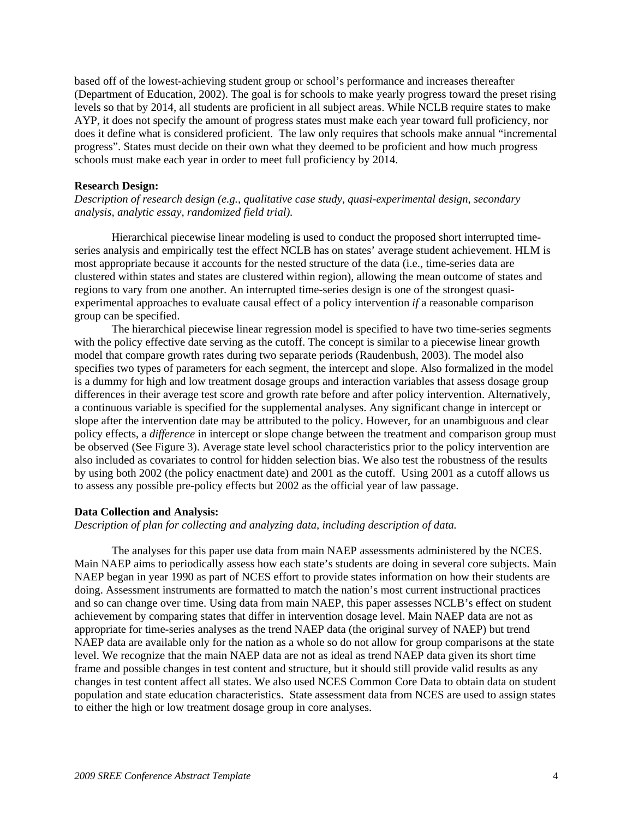based off of the lowest-achieving student group or school's performance and increases thereafter (Department of Education, 2002). The goal is for schools to make yearly progress toward the preset rising levels so that by 2014, all students are proficient in all subject areas. While NCLB require states to make AYP, it does not specify the amount of progress states must make each year toward full proficiency, nor does it define what is considered proficient. The law only requires that schools make annual "incremental progress". States must decide on their own what they deemed to be proficient and how much progress schools must make each year in order to meet full proficiency by 2014.

#### **Research Design:**

*Description of research design (e.g., qualitative case study, quasi-experimental design, secondary analysis, analytic essay, randomized field trial).* 

Hierarchical piecewise linear modeling is used to conduct the proposed short interrupted timeseries analysis and empirically test the effect NCLB has on states' average student achievement. HLM is most appropriate because it accounts for the nested structure of the data (i.e., time-series data are clustered within states and states are clustered within region), allowing the mean outcome of states and regions to vary from one another. An interrupted time-series design is one of the strongest quasiexperimental approaches to evaluate causal effect of a policy intervention *if* a reasonable comparison group can be specified.

The hierarchical piecewise linear regression model is specified to have two time-series segments with the policy effective date serving as the cutoff. The concept is similar to a piecewise linear growth model that compare growth rates during two separate periods (Raudenbush, 2003). The model also specifies two types of parameters for each segment, the intercept and slope. Also formalized in the model is a dummy for high and low treatment dosage groups and interaction variables that assess dosage group differences in their average test score and growth rate before and after policy intervention. Alternatively, a continuous variable is specified for the supplemental analyses. Any significant change in intercept or slope after the intervention date may be attributed to the policy. However, for an unambiguous and clear policy effects, a *difference* in intercept or slope change between the treatment and comparison group must be observed (See Figure 3). Average state level school characteristics prior to the policy intervention are also included as covariates to control for hidden selection bias. We also test the robustness of the results by using both 2002 (the policy enactment date) and 2001 as the cutoff. Using 2001 as a cutoff allows us to assess any possible pre-policy effects but 2002 as the official year of law passage.

#### **Data Collection and Analysis:**

*Description of plan for collecting and analyzing data, including description of data.*

The analyses for this paper use data from main NAEP assessments administered by the NCES. Main NAEP aims to periodically assess how each state's students are doing in several core subjects. Main NAEP began in year 1990 as part of NCES effort to provide states information on how their students are doing. Assessment instruments are formatted to match the nation's most current instructional practices and so can change over time. Using data from main NAEP, this paper assesses NCLB's effect on student achievement by comparing states that differ in intervention dosage level. Main NAEP data are not as appropriate for time-series analyses as the trend NAEP data (the original survey of NAEP) but trend NAEP data are available only for the nation as a whole so do not allow for group comparisons at the state level. We recognize that the main NAEP data are not as ideal as trend NAEP data given its short time frame and possible changes in test content and structure, but it should still provide valid results as any changes in test content affect all states. We also used NCES Common Core Data to obtain data on student population and state education characteristics. State assessment data from NCES are used to assign states to either the high or low treatment dosage group in core analyses.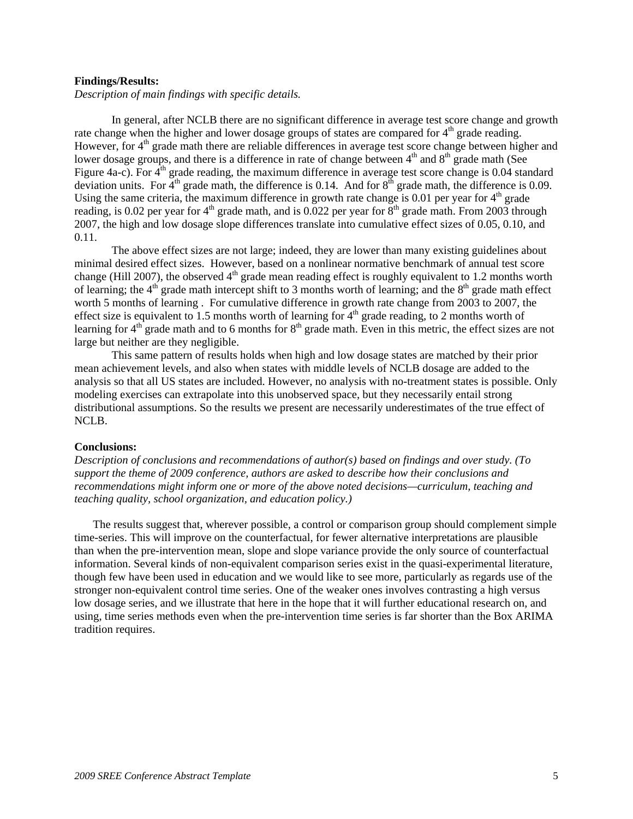#### **Findings/Results:**

*Description of main findings with specific details.* 

In general, after NCLB there are no significant difference in average test score change and growth rate change when the higher and lower dosage groups of states are compared for  $4<sup>th</sup>$  grade reading. However, for  $4<sup>th</sup>$  grade math there are reliable differences in average test score change between higher and lower dosage groups, and there is a difference in rate of change between  $4<sup>th</sup>$  and  $8<sup>th</sup>$  grade math (See Figure 4a-c). For  $4<sup>th</sup>$  grade reading, the maximum difference in average test score change is 0.04 standard deviation units. For  $4<sup>th</sup>$  grade math, the difference is 0.14. And for  $8<sup>th</sup>$  grade math, the difference is 0.09. Using the same criteria, the maximum difference in growth rate change is 0.01 per year for  $4<sup>th</sup>$  grade reading, is 0.02 per year for  $4<sup>th</sup>$  grade math, and is 0.022 per year for  $8<sup>th</sup>$  grade math. From 2003 through 2007, the high and low dosage slope differences translate into cumulative effect sizes of 0.05, 0.10, and 0.11.

The above effect sizes are not large; indeed, they are lower than many existing guidelines about minimal desired effect sizes. However, based on a nonlinear normative benchmark of annual test score change (Hill 2007), the observed  $4<sup>th</sup>$  grade mean reading effect is roughly equivalent to 1.2 months worth of learning; the  $4<sup>th</sup>$  grade math intercept shift to 3 months worth of learning; and the  $8<sup>th</sup>$  grade math effect worth 5 months of learning . For cumulative difference in growth rate change from 2003 to 2007, the effect size is equivalent to 1.5 months worth of learning for  $4<sup>th</sup>$  grade reading, to 2 months worth of learning for  $4<sup>th</sup>$  grade math and to 6 months for  $8<sup>th</sup>$  grade math. Even in this metric, the effect sizes are not large but neither are they negligible.

This same pattern of results holds when high and low dosage states are matched by their prior mean achievement levels, and also when states with middle levels of NCLB dosage are added to the analysis so that all US states are included. However, no analysis with no-treatment states is possible. Only modeling exercises can extrapolate into this unobserved space, but they necessarily entail strong distributional assumptions. So the results we present are necessarily underestimates of the true effect of NCLB.

#### **Conclusions:**

*Description of conclusions and recommendations of author(s) based on findings and over study. (To support the theme of 2009 conference, authors are asked to describe how their conclusions and recommendations might inform one or more of the above noted decisions—curriculum, teaching and teaching quality, school organization, and education policy.)*

The results suggest that, wherever possible, a control or comparison group should complement simple time-series. This will improve on the counterfactual, for fewer alternative interpretations are plausible than when the pre-intervention mean, slope and slope variance provide the only source of counterfactual information. Several kinds of non-equivalent comparison series exist in the quasi-experimental literature, though few have been used in education and we would like to see more, particularly as regards use of the stronger non-equivalent control time series. One of the weaker ones involves contrasting a high versus low dosage series, and we illustrate that here in the hope that it will further educational research on, and using, time series methods even when the pre-intervention time series is far shorter than the Box ARIMA tradition requires.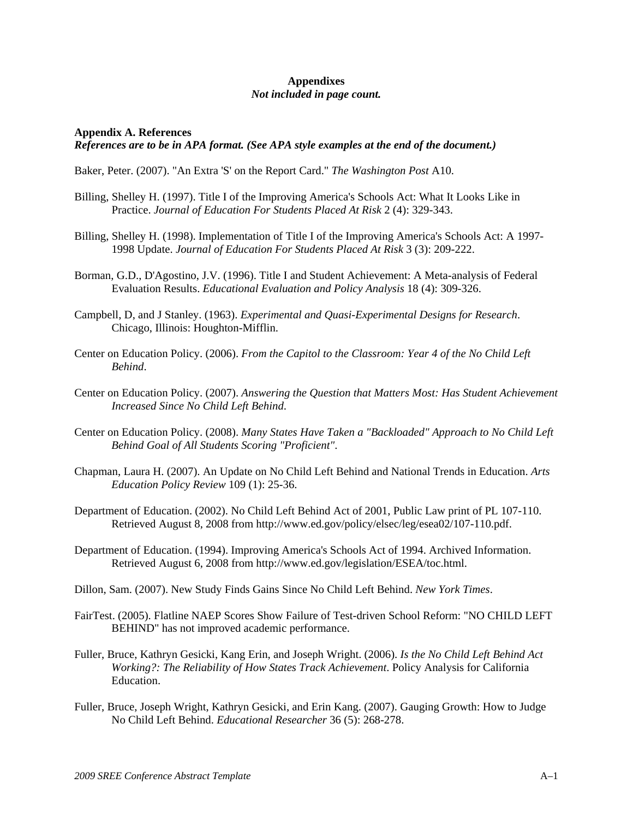### **Appendixes**  *Not included in page count.*

### **Appendix A. References**  *References are to be in APA format. (See APA style examples at the end of the document.)*

Baker, Peter. (2007). "An Extra 'S' on the Report Card." *The Washington Post* A10.

- Billing, Shelley H. (1997). Title I of the Improving America's Schools Act: What It Looks Like in Practice. *Journal of Education For Students Placed At Risk* 2 (4): 329-343.
- Billing, Shelley H. (1998). Implementation of Title I of the Improving America's Schools Act: A 1997- 1998 Update. *Journal of Education For Students Placed At Risk* 3 (3): 209-222.
- Borman, G.D., D'Agostino, J.V. (1996). Title I and Student Achievement: A Meta-analysis of Federal Evaluation Results. *Educational Evaluation and Policy Analysis* 18 (4): 309-326.
- Campbell, D, and J Stanley. (1963). *Experimental and Quasi-Experimental Designs for Research*. Chicago, Illinois: Houghton-Mifflin.
- Center on Education Policy. (2006). *From the Capitol to the Classroom: Year 4 of the No Child Left Behind*.
- Center on Education Policy. (2007). *Answering the Question that Matters Most: Has Student Achievement Increased Since No Child Left Behind*.
- Center on Education Policy. (2008). *Many States Have Taken a "Backloaded" Approach to No Child Left Behind Goal of All Students Scoring "Proficient"*.
- Chapman, Laura H. (2007). An Update on No Child Left Behind and National Trends in Education. *Arts Education Policy Review* 109 (1): 25-36.
- Department of Education. (2002). No Child Left Behind Act of 2001, Public Law print of PL 107-110. Retrieved August 8, 2008 from http://www.ed.gov/policy/elsec/leg/esea02/107-110.pdf.
- Department of Education. (1994). Improving America's Schools Act of 1994. Archived Information. Retrieved August 6, 2008 from http://www.ed.gov/legislation/ESEA/toc.html.
- Dillon, Sam. (2007). New Study Finds Gains Since No Child Left Behind. *New York Times*.
- FairTest. (2005). Flatline NAEP Scores Show Failure of Test-driven School Reform: "NO CHILD LEFT BEHIND" has not improved academic performance.
- Fuller, Bruce, Kathryn Gesicki, Kang Erin, and Joseph Wright. (2006). *Is the No Child Left Behind Act Working?: The Reliability of How States Track Achievement*. Policy Analysis for California Education.
- Fuller, Bruce, Joseph Wright, Kathryn Gesicki, and Erin Kang. (2007). Gauging Growth: How to Judge No Child Left Behind. *Educational Researcher* 36 (5): 268-278.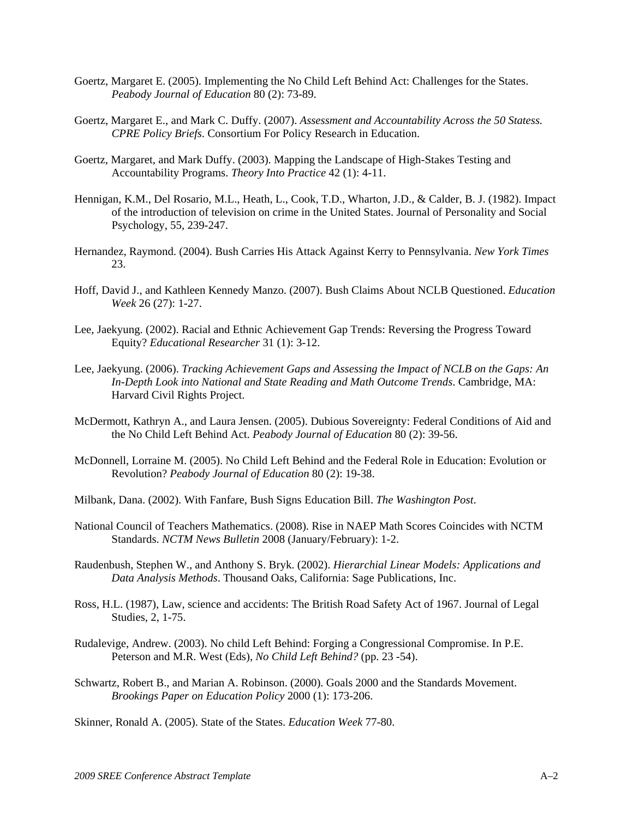- Goertz, Margaret E. (2005). Implementing the No Child Left Behind Act: Challenges for the States. *Peabody Journal of Education* 80 (2): 73-89.
- Goertz, Margaret E., and Mark C. Duffy. (2007). *Assessment and Accountability Across the 50 Statess. CPRE Policy Briefs*. Consortium For Policy Research in Education.
- Goertz, Margaret, and Mark Duffy. (2003). Mapping the Landscape of High-Stakes Testing and Accountability Programs. *Theory Into Practice* 42 (1): 4-11.
- Hennigan, K.M., Del Rosario, M.L., Heath, L., Cook, T.D., Wharton, J.D., & Calder, B. J. (1982). Impact of the introduction of television on crime in the United States. Journal of Personality and Social Psychology, 55, 239-247.
- Hernandez, Raymond. (2004). Bush Carries His Attack Against Kerry to Pennsylvania. *New York Times* 23.
- Hoff, David J., and Kathleen Kennedy Manzo. (2007). Bush Claims About NCLB Questioned. *Education Week* 26 (27): 1-27.
- Lee, Jaekyung. (2002). Racial and Ethnic Achievement Gap Trends: Reversing the Progress Toward Equity? *Educational Researcher* 31 (1): 3-12.
- Lee, Jaekyung. (2006). *Tracking Achievement Gaps and Assessing the Impact of NCLB on the Gaps: An In-Depth Look into National and State Reading and Math Outcome Trends*. Cambridge, MA: Harvard Civil Rights Project.
- McDermott, Kathryn A., and Laura Jensen. (2005). Dubious Sovereignty: Federal Conditions of Aid and the No Child Left Behind Act. *Peabody Journal of Education* 80 (2): 39-56.
- McDonnell, Lorraine M. (2005). No Child Left Behind and the Federal Role in Education: Evolution or Revolution? *Peabody Journal of Education* 80 (2): 19-38.
- Milbank, Dana. (2002). With Fanfare, Bush Signs Education Bill. *The Washington Post*.
- National Council of Teachers Mathematics. (2008). Rise in NAEP Math Scores Coincides with NCTM Standards. *NCTM News Bulletin* 2008 (January/February): 1-2.
- Raudenbush, Stephen W., and Anthony S. Bryk. (2002). *Hierarchial Linear Models: Applications and Data Analysis Methods*. Thousand Oaks, California: Sage Publications, Inc.
- Ross, H.L. (1987), Law, science and accidents: The British Road Safety Act of 1967. Journal of Legal Studies, 2, 1-75.
- Rudalevige, Andrew. (2003). No child Left Behind: Forging a Congressional Compromise. In P.E. Peterson and M.R. West (Eds), *No Child Left Behind?* (pp. 23 -54).
- Schwartz, Robert B., and Marian A. Robinson. (2000). Goals 2000 and the Standards Movement. *Brookings Paper on Education Policy* 2000 (1): 173-206.

Skinner, Ronald A. (2005). State of the States. *Education Week* 77-80.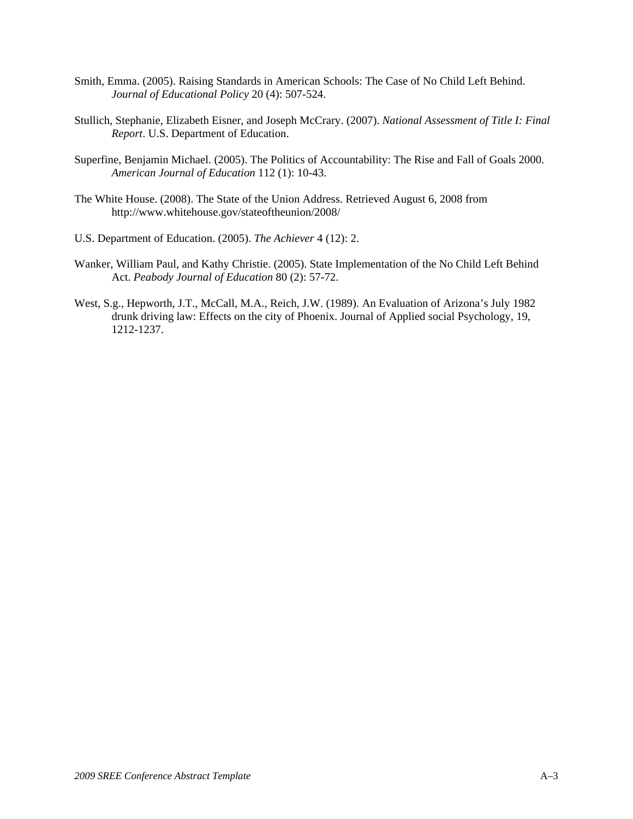- Smith, Emma. (2005). Raising Standards in American Schools: The Case of No Child Left Behind. *Journal of Educational Policy* 20 (4): 507-524.
- Stullich, Stephanie, Elizabeth Eisner, and Joseph McCrary. (2007). *National Assessment of Title I: Final Report*. U.S. Department of Education.
- Superfine, Benjamin Michael. (2005). The Politics of Accountability: The Rise and Fall of Goals 2000. *American Journal of Education* 112 (1): 10-43.
- The White House. (2008). The State of the Union Address. Retrieved August 6, 2008 from http://www.whitehouse.gov/stateoftheunion/2008/
- U.S. Department of Education. (2005). *The Achiever* 4 (12): 2.
- Wanker, William Paul, and Kathy Christie. (2005). State Implementation of the No Child Left Behind Act. *Peabody Journal of Education* 80 (2): 57-72.
- West, S.g., Hepworth, J.T., McCall, M.A., Reich, J.W. (1989). An Evaluation of Arizona's July 1982 drunk driving law: Effects on the city of Phoenix. Journal of Applied social Psychology, 19, 1212-1237.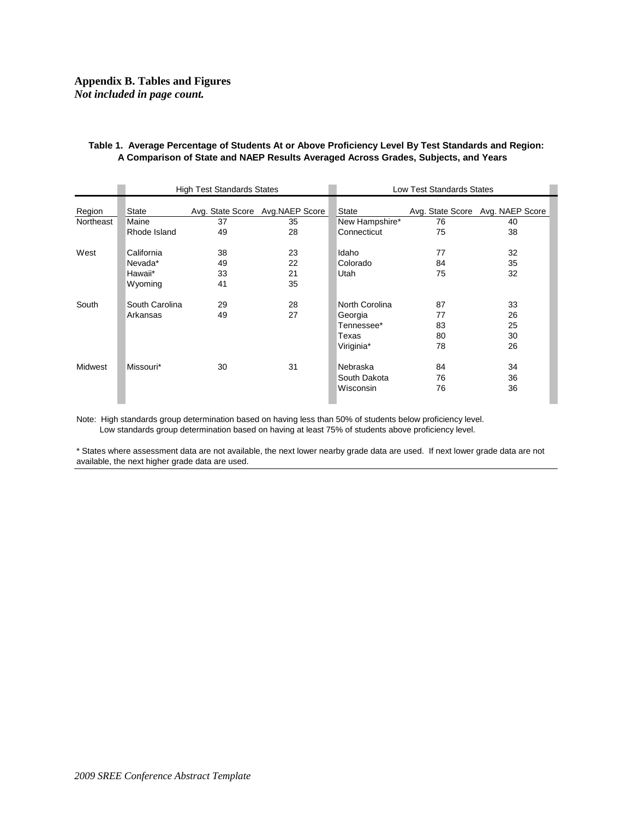### **Appendix B. Tables and Figures**  *Not included in page count.*

|                | <b>High Test Standards States</b> |    |                                  | <b>Low Test Standards States</b> |    |                                  |
|----------------|-----------------------------------|----|----------------------------------|----------------------------------|----|----------------------------------|
| Region         | <b>State</b>                      |    | Avg. State Score Avg. NAEP Score | State                            |    | Avg. State Score Avg. NAEP Score |
| Northeast      | Maine                             | 37 | 35                               | New Hampshire*                   | 76 | 40                               |
|                | Rhode Island                      | 49 | 28                               | Connecticut                      | 75 | 38                               |
| West           | California                        | 38 | 23                               | Idaho                            | 77 | 32                               |
|                | Nevada*                           | 49 | 22                               | Colorado                         | 84 | 35                               |
|                | Hawaii*                           | 33 | 21                               | Utah                             | 75 | 32                               |
|                | Wyoming                           | 41 | 35                               |                                  |    |                                  |
| South          | South Carolina                    | 29 | 28                               | North Corolina                   | 87 | 33                               |
|                | Arkansas                          | 49 | 27                               | Georgia                          | 77 | 26                               |
|                |                                   |    |                                  | Tennessee*                       | 83 | 25                               |
|                |                                   |    |                                  | Texas                            | 80 | 30                               |
|                |                                   |    |                                  | Viriginia*                       | 78 | 26                               |
| <b>Midwest</b> | Missouri*                         | 30 | 31                               | Nebraska                         | 84 | 34                               |
|                |                                   |    |                                  | South Dakota                     | 76 | 36                               |
|                |                                   |    |                                  | Wisconsin                        | 76 | 36                               |

#### **Table 1. Average Percentage of Students At or Above Proficiency Level By Test Standards and Region: A Comparison of State and NAEP Results Averaged Across Grades, Subjects, and Years**

Note: High standards group determination based on having less than 50% of students below proficiency level. Low standards group determination based on having at least 75% of students above proficiency level.

\* States where assessment data are not available, the next lower nearby grade data are used. If next lower grade data are not available, the next higher grade data are used.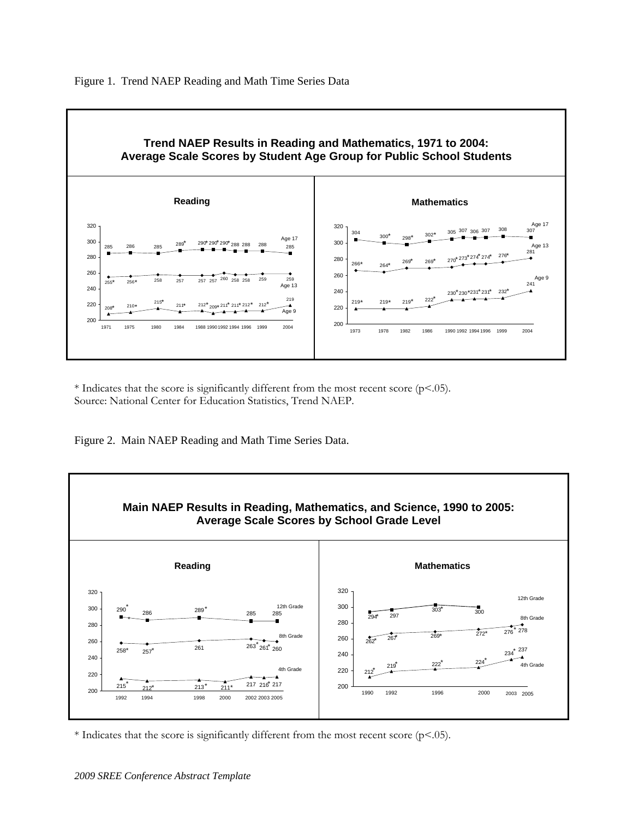

\* Indicates that the score is significantly different from the most recent score ( $p$ <.05). Source: National Center for Education Statistics, Trend NAEP.

Figure 2. Main NAEP Reading and Math Time Series Data.



\* Indicates that the score is significantly different from the most recent score ( $p$ <.05).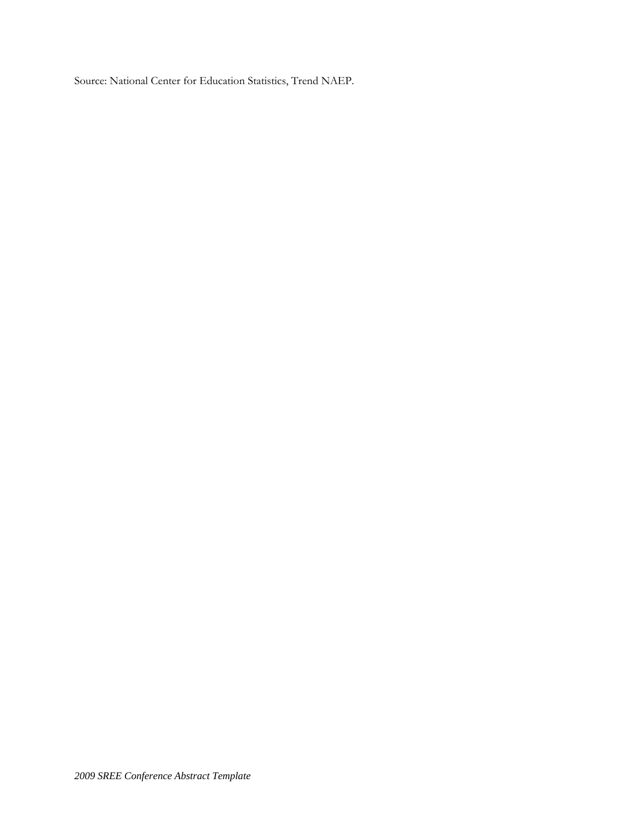Source: National Center for Education Statistics, Trend NAEP.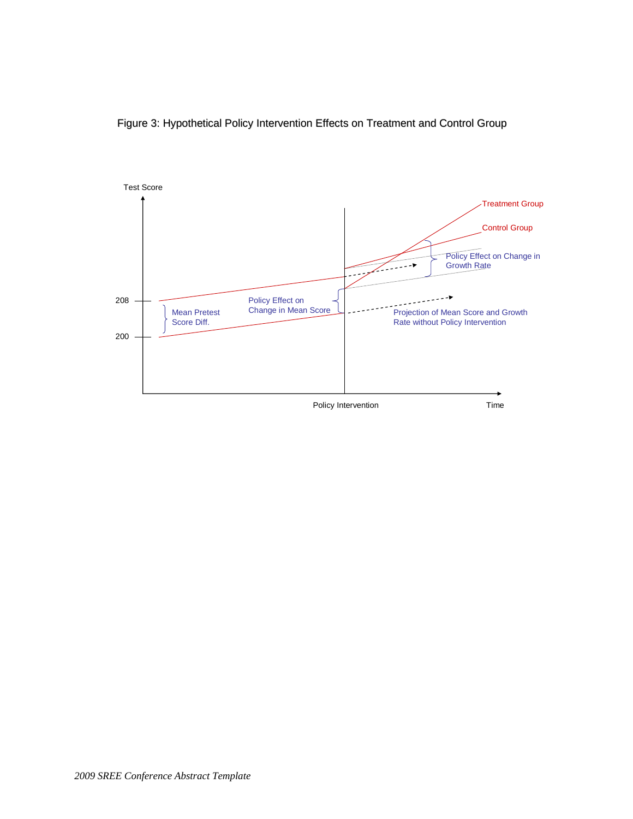